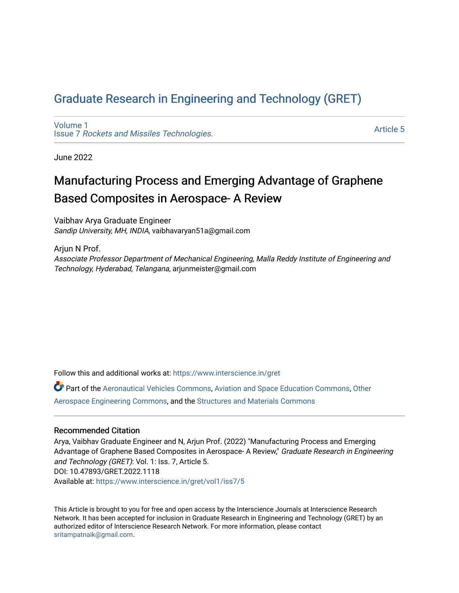# [Graduate Research in Engineering and Technology \(GRET\)](https://www.interscience.in/gret)

[Volume 1](https://www.interscience.in/gret/vol1) Issue 7 [Rockets and Missiles Technologies.](https://www.interscience.in/gret/vol1/iss7)

[Article 5](https://www.interscience.in/gret/vol1/iss7/5) 

June 2022

# Manufacturing Process and Emerging Advantage of Graphene Based Composites in Aerospace- A Review

Vaibhav Arya Graduate Engineer Sandip University, MH, INDIA, vaibhavaryan51a@gmail.com

Ariun N Prof. Associate Professor Department of Mechanical Engineering, Malla Reddy Institute of Engineering and Technology, Hyderabad, Telangana, arjunmeister@gmail.com

Follow this and additional works at: [https://www.interscience.in/gret](https://www.interscience.in/gret?utm_source=www.interscience.in%2Fgret%2Fvol1%2Fiss7%2F5&utm_medium=PDF&utm_campaign=PDFCoverPages)

Part of the [Aeronautical Vehicles Commons,](https://network.bepress.com/hgg/discipline/219?utm_source=www.interscience.in%2Fgret%2Fvol1%2Fiss7%2F5&utm_medium=PDF&utm_campaign=PDFCoverPages) [Aviation and Space Education Commons,](https://network.bepress.com/hgg/discipline/1370?utm_source=www.interscience.in%2Fgret%2Fvol1%2Fiss7%2F5&utm_medium=PDF&utm_campaign=PDFCoverPages) [Other](https://network.bepress.com/hgg/discipline/228?utm_source=www.interscience.in%2Fgret%2Fvol1%2Fiss7%2F5&utm_medium=PDF&utm_campaign=PDFCoverPages) [Aerospace Engineering Commons,](https://network.bepress.com/hgg/discipline/228?utm_source=www.interscience.in%2Fgret%2Fvol1%2Fiss7%2F5&utm_medium=PDF&utm_campaign=PDFCoverPages) and the [Structures and Materials Commons](https://network.bepress.com/hgg/discipline/224?utm_source=www.interscience.in%2Fgret%2Fvol1%2Fiss7%2F5&utm_medium=PDF&utm_campaign=PDFCoverPages) 

# Recommended Citation

Arya, Vaibhav Graduate Engineer and N, Arjun Prof. (2022) "Manufacturing Process and Emerging Advantage of Graphene Based Composites in Aerospace- A Review," Graduate Research in Engineering and Technology (GRET): Vol. 1: Iss. 7, Article 5. DOI: 10.47893/GRET.2022.1118 Available at: [https://www.interscience.in/gret/vol1/iss7/5](https://www.interscience.in/gret/vol1/iss7/5?utm_source=www.interscience.in%2Fgret%2Fvol1%2Fiss7%2F5&utm_medium=PDF&utm_campaign=PDFCoverPages)

This Article is brought to you for free and open access by the Interscience Journals at Interscience Research Network. It has been accepted for inclusion in Graduate Research in Engineering and Technology (GRET) by an authorized editor of Interscience Research Network. For more information, please contact [sritampatnaik@gmail.com](mailto:sritampatnaik@gmail.com).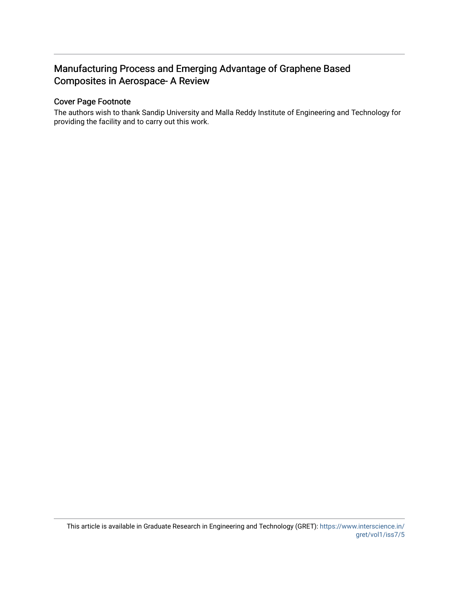# Manufacturing Process and Emerging Advantage of Graphene Based Composites in Aerospace- A Review

# Cover Page Footnote

The authors wish to thank Sandip University and Malla Reddy Institute of Engineering and Technology for providing the facility and to carry out this work.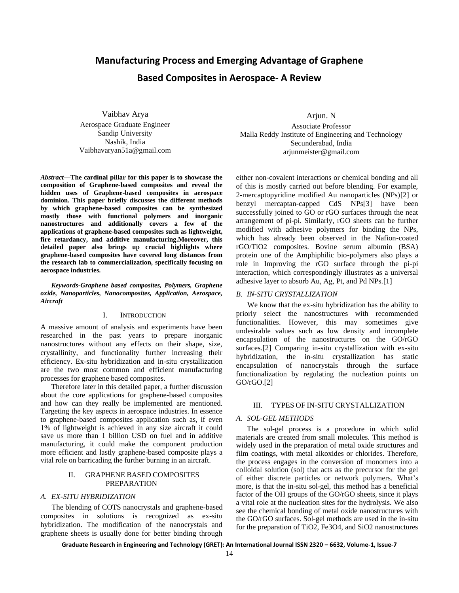# **Manufacturing Process and Emerging Advantage of Graphene Based Composites in Aerospace- A Review**

Vaibhav Arya Aerospace Graduate Engineer Sandip University Nashik, India Vaibhavaryan51a@gmail.com

*Abstract***—The cardinal pillar for this paper is to showcase the composition of Graphene-based composites and reveal the hidden uses of Graphene-based composites in aerospace dominion. This paper briefly discusses the different methods by which graphene-based composites can be synthesized mostly those with functional polymers and inorganic nanostructures and additionally covers a few of the applications of graphene-based composites such as lightweight, fire retardancy, and additive manufacturing.Moreover, this detailed paper also brings up crucial highlights where graphene-based composites have covered long distances from the research lab to commercialization, specifically focusing on aerospace industries.**

*Keywords-Graphene based composites, Polymers, Graphene oxide, Nanoparticles, Nanocomposites, Application, Aerospace, Aircraft*

#### I. INTRODUCTION

A massive amount of analysis and experiments have been researched in the past years to prepare inorganic nanostructures without any effects on their shape, size, crystallinity, and functionality further increasing their efficiency. Ex-situ hybridization and in-situ crystallization are the two most common and efficient manufacturing processes for graphene based composites.

Therefore later in this detailed paper, a further discussion about the core applications for graphene-based composites and how can they really be implemented are mentioned. Targeting the key aspects in aerospace industries. In essence to graphene-based composites application such as, if even 1% of lightweight is achieved in any size aircraft it could save us more than 1 billion USD on fuel and in additive manufacturing, it could make the component production more efficient and lastly graphene-based composite plays a vital role on barricading the further burning in an aircraft.

# II. GRAPHENE BASED COMPOSITES PREPARATION

#### *A. EX-SITU HYBRIDIZATION*

The blending of COTS nanocrystals and graphene-based composites in solutions is recognized as ex-situ hybridization. The modification of the nanocrystals and graphene sheets is usually done for better binding through

Arjun. N Associate Professor Malla Reddy Institute of Engineering and Technology Secunderabad, India arjunmeister@gmail.com

either non-covalent interactions or chemical bonding and all of this is mostly carried out before blending. For example, 2-mercaptopyridine modified Au nanoparticles (NPs)[2] or benzyl mercaptan-capped CdS NPs[3] have been successfully joined to GO or rGO surfaces through the neat arrangement of pi-pi. Similarly, rGO sheets can be further modified with adhesive polymers for binding the NPs, which has already been observed in the Nafion-coated rGO/TiO2 composites. Bovine serum albumin (BSA) protein one of the Amphiphilic bio-polymers also plays a role in Improving the rGO surface through the pi-pi interaction, which correspondingly illustrates as a universal adhesive layer to absorb Au, Ag, Pt, and Pd NPs.[1]

#### *B. IN-SITU CRYSTALLIZATION*

We know that the ex-situ hybridization has the ability to priorly select the nanostructures with recommended functionalities. However, this may sometimes give undesirable values such as low density and incomplete encapsulation of the nanostructures on the GO/rGO surfaces.[2] Comparing in-situ crystallization with ex-situ hybridization, the in-situ crystallization has static encapsulation of nanocrystals through the surface functionalization by regulating the nucleation points on GO/rGO.[2]

#### III. TYPES OF IN-SITU CRYSTALLIZATION

#### *A. SOL-GEL METHODS*

The sol-gel process is a procedure in which solid materials are created from small molecules. This method is widely used in the preparation of metal oxide structures and film coatings, with metal alkoxides or chlorides. Therefore, the process engages in the conversion of monomers into a colloidal solution (sol) that acts as the precursor for the gel of either discrete particles or network polymers. What's more, is that the in-situ sol-gel, this method has a beneficial factor of the OH groups of the GO/rGO sheets, since it plays a vital role at the nucleation sites for the hydrolysis. We also see the chemical bonding of metal oxide nanostructures with the GO/rGO surfaces. Sol-gel methods are used in the in-situ for the preparation of TiO2, Fe3O4, and SiO2 nanostructures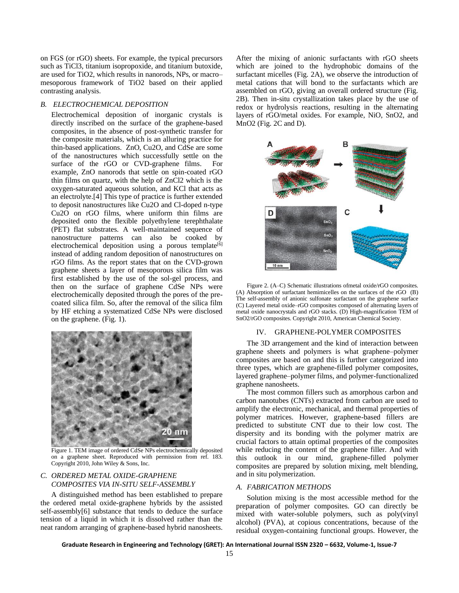on FGS (or rGO) sheets. For example, the typical precursors such as TiCl3, titanium isopropoxide, and titanium butoxide, are used for TiO2, which results in nanorods, NPs, or macro– mesoporous framework of TiO2 based on their applied contrasting analysis.

#### *B. ELECTROCHEMICAL DEPOSITION*

Electrochemical deposition of inorganic crystals is directly inscribed on the surface of the graphene-based composites, in the absence of post-synthetic transfer for the composite materials, which is an alluring practice for thin-based applications. ZnO, Cu2O, and CdSe are some of the nanostructures which successfully settle on the surface of the rGO or CVD-graphene films. For example, ZnO nanorods that settle on spin-coated rGO thin films on quartz, with the help of ZnCl2 which is the oxygen-saturated aqueous solution, and KCl that acts as an electrolyte.[4] This type of practice is further extended to deposit nanostructures like Cu2O and Cl-doped n-type Cu2O on rGO films, where uniform thin films are deposited onto the flexible polyethylene terephthalate (PET) flat substrates. A well-maintained sequence of nanostructure patterns can also be cooked by electrochemical deposition using a porous template<sup>[6]</sup> instead of adding random deposition of nanostructures on rGO films. As the report states that on the CVD-grown graphene sheets a layer of mesoporous silica film was first established by the use of the sol-gel process, and then on the surface of graphene CdSe NPs were electrochemically deposited through the pores of the precoated silica film. So, after the removal of the silica film by HF etching a systematized CdSe NPs were disclosed on the graphene. (Fig. 1).



Figure 1. TEM image of ordered CdSe NPs electrochemically deposited on a graphene sheet. Reproduced with permission from ref. 183. Copyright 2010, John Wiley & Sons, Inc.

# *C. ORDERED METAL OXIDE-GRAPHENE COMPOSITES VIA IN-SITU SELF-ASSEMBLY*

A distinguished method has been established to prepare the ordered metal oxide-graphene hybrids by the assisted self-assembly[6] substance that tends to deduce the surface tension of a liquid in which it is dissolved rather than the neat random arranging of graphene-based hybrid nanosheets. After the mixing of anionic surfactants with rGO sheets which are joined to the hydrophobic domains of the surfactant micelles (Fig. 2A), we observe the introduction of metal cations that will bond to the surfactants which are assembled on rGO, giving an overall ordered structure (Fig. 2B). Then in-situ crystallization takes place by the use of redox or hydrolysis reactions, resulting in the alternating layers of rGO/metal oxides. For example, NiO, SnO2, and MnO2 (Fig. 2C and D).



Figure 2. (A–C) Schematic illustrations ofmetal oxide/rGO composites. (A) Absorption of surfactant hemimicelles on the surfaces of the rGO (B) The self-assembly of anionic sulfonate surfactant on the graphene surface (C) Layered metal oxide–rGO composites composed of alternating layers of metal oxide nanocrystals and rGO stacks. (D) High-magnification TEM of SnO2/rGO composites. Copyright 2010, American Chemical Society.

#### IV. GRAPHENE-POLYMER COMPOSITES

The 3D arrangement and the kind of interaction between graphene sheets and polymers is what graphene–polymer composites are based on and this is further categorized into three types, which are graphene-filled polymer composites, layered graphene–polymer films, and polymer-functionalized graphene nanosheets.

The most common fillers such as amorphous carbon and carbon nanotubes (CNTs) extracted from carbon are used to amplify the electronic, mechanical, and thermal properties of polymer matrices. However, graphene-based fillers are predicted to substitute CNT due to their low cost. The dispersity and its bonding with the polymer matrix are crucial factors to attain optimal properties of the composites while reducing the content of the graphene filler. And with this outlook in our mind, graphene-filled polymer composites are prepared by solution mixing, melt blending, and in situ polymerization.

# *A. FABRICATION METHODS*

Solution mixing is the most accessible method for the preparation of polymer composites. GO can directly be mixed with water-soluble polymers, such as poly(vinyl alcohol) (PVA), at copious concentrations, because of the residual oxygen-containing functional groups. However, the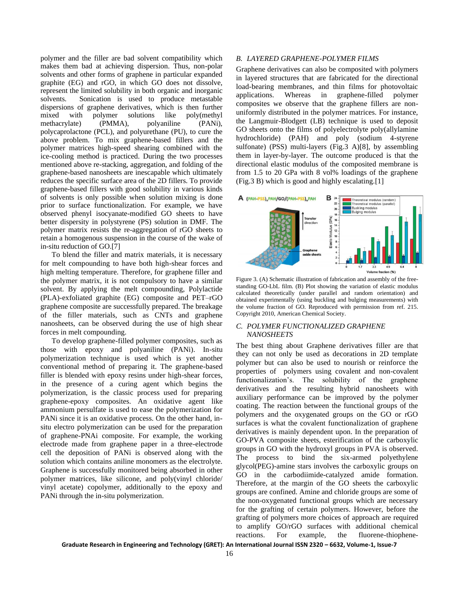polymer and the filler are bad solvent compatibility which makes them bad at achieving dispersion. Thus, non-polar solvents and other forms of graphene in particular expanded graphite (EG) and rGO, in which GO does not dissolve, represent the limited solubility in both organic and inorganic solvents. Sonication is used to produce metastable dispersions of graphene derivatives, which is then further mixed with polymer solutions like poly(methyl<br>methacrylate) (PMMA), polyaniline (PANi), methacrylate) (PMMA), polyaniline (PANi), polycaprolactone (PCL), and polyurethane (PU), to cure the above problem. To mix graphene-based fillers and the polymer matrices high-speed shearing combined with the ice-cooling method is practiced. During the two processes mentioned above re-stacking, aggregation, and folding of the graphene-based nanosheets are inescapable which ultimately reduces the specific surface area of the 2D fillers. To provide graphene-based fillers with good solubility in various kinds of solvents is only possible when solution mixing is done prior to surface functionalization. For example, we have observed phenyl isocyanate-modified GO sheets to have better dispersity in polystyrene (PS) solution in DMF. The polymer matrix resists the re-aggregation of rGO sheets to retain a homogenous suspension in the course of the wake of in-situ reduction of GO.[7]

To blend the filler and matrix materials, it is necessary for melt compounding to have both high-shear forces and high melting temperature. Therefore, for graphene filler and the polymer matrix, it is not compulsory to have a similar solvent. By applying the melt compounding, Polylactide (PLA)-exfoliated graphite (EG) composite and PET–rGO graphene composite are successfully prepared. The breakage of the filler materials, such as CNTs and graphene nanosheets, can be observed during the use of high shear forces in melt compounding.

To develop graphene-filled polymer composites, such as those with epoxy and polyaniline (PANi). In-situ polymerization technique is used which is yet another conventional method of preparing it. The graphene-based filler is blended with epoxy resins under high-shear forces, in the presence of a curing agent which begins the polymerization, is the classic process used for preparing graphene-epoxy composites. An oxidative agent like ammonium persulfate is used to ease the polymerization for PANi since it is an oxidative process. On the other hand, insitu electro polymerization can be used for the preparation of graphene-PNAi composite. For example, the working electrode made from graphene paper in a three-electrode cell the deposition of PANi is observed along with the solution which contains aniline monomers as the electrolyte. Graphene is successfully monitored being absorbed in other polymer matrices, like silicone, and poly(vinyl chloride/ vinyl acetate) copolymer, additionally to the epoxy and PANi through the in-situ polymerization.

### *B. LAYERED GRAPHENE-POLYMER FILMS*

Graphene derivatives can also be composited with polymers in layered structures that are fabricated for the directional load-bearing membranes, and thin films for photovoltaic applications. Whereas in graphene-filled polymer composites we observe that the graphene fillers are nonuniformly distributed in the polymer matrices. For instance, the Langmuir-Blodgett (LB) technique is used to deposit GO sheets onto the films of polyelectrolyte poly(allylamine hydrochloride) (PAH) and poly (sodium 4-styrene sulfonate) (PSS) multi-layers (Fig.3 A)[8], by assembling them in layer-by-layer. The outcome produced is that the directional elastic modulus of the composited membrane is from 1.5 to 20 GPa with 8 vol% loadings of the graphene (Fig.3 B) which is good and highly escalating.[1]



Figure 3. (A) Schematic illustration of fabrication and assembly of the freestanding GO-LbL film. (B) Plot showing the variation of elastic modulus calculated theoretically (under parallel and random orientation) and obtained experimentally (using buckling and bulging measurements) with the volume fraction of GO. Reproduced with permission from ref. 215. Copyright 2010, American Chemical Society.

# *C. POLYMER FUNCTIONALIZED GRAPHENE NANOSHEETS*

The best thing about Graphene derivatives filler are that they can not only be used as decorations in 2D template polymer but can also be used to nourish or reinforce the properties of polymers using covalent and non-covalent functionalization's. The solubility of the graphene derivatives and the resulting hybrid nanosheets with auxiliary performance can be improved by the polymer coating. The reaction between the functional groups of the polymers and the oxygenated groups on the GO or rGO surfaces is what the covalent functionalization of graphene derivatives is mainly dependent upon. In the preparation of GO-PVA composite sheets, esterification of the carboxylic groups in GO with the hydroxyl groups in PVA is observed. The process to bind the six-armed polyethylene glycol(PEG)-amine stars involves the carboxylic groups on GO in the carbodiimide-catalyzed amide formation. Therefore, at the margin of the GO sheets the carboxylic groups are confined. Amine and chloride groups are some of the non-oxygenated functional groups which are necessary for the grafting of certain polymers. However, before the grafting of polymers more choices of approach are required to amplify GO/rGO surfaces with additional chemical reactions. For example, the fluorene-thiophene-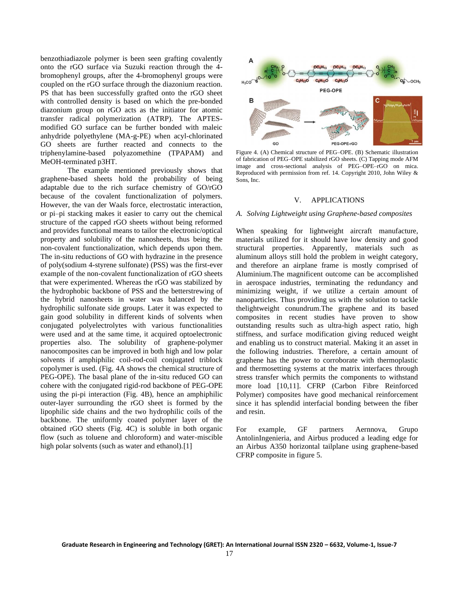benzothiadiazole polymer is been seen grafting covalently onto the rGO surface via Suzuki reaction through the 4 bromophenyl groups, after the 4-bromophenyl groups were coupled on the rGO surface through the diazonium reaction. PS that has been successfully grafted onto the rGO sheet with controlled density is based on which the pre-bonded diazonium group on rGO acts as the initiator for atomic transfer radical polymerization (ATRP). The APTESmodified GO surface can be further bonded with maleic anhydride polyethylene (MA-g-PE) when acyl-chlorinated GO sheets are further reacted and connects to the triphenylamine-based polyazomethine (TPAPAM) and MeOH-terminated p3HT.

The example mentioned previously shows that graphene-based sheets hold the probability of being adaptable due to the rich surface chemistry of GO/rGO because of the covalent functionalization of polymers. However, the van der Waals force, electrostatic interaction, or pi–pi stacking makes it easier to carry out the chemical structure of the capped rGO sheets without being reformed and provides functional means to tailor the electronic/optical property and solubility of the nanosheets, thus being the non-covalent functionalization, which depends upon them. The in-situ reductions of GO with hydrazine in the presence of poly(sodium 4-styrene sulfonate) (PSS) was the first-ever example of the non-covalent functionalization of rGO sheets that were experimented. Whereas the rGO was stabilized by the hydrophobic backbone of PSS and the betterstrewing of the hybrid nanosheets in water was balanced by the hydrophilic sulfonate side groups. Later it was expected to gain good solubility in different kinds of solvents when conjugated polyelectrolytes with various functionalities were used and at the same time, it acquired optoelectronic properties also. The solubility of graphene-polymer nanocomposites can be improved in both high and low polar solvents if amphiphilic coil-rod-coil conjugated triblock copolymer is used. (Fig. 4A shows the chemical structure of PEG-OPE). The basal plane of the in-situ reduced GO can cohere with the conjugated rigid-rod backbone of PEG-OPE using the pi-pi interaction (Fig. 4B), hence an amphiphilic outer-layer surrounding the rGO sheet is formed by the lipophilic side chains and the two hydrophilic coils of the backbone. The uniformly coated polymer layer of the obtained rGO sheets (Fig. 4C) is soluble in both organic flow (such as toluene and chloroform) and water-miscible high polar solvents (such as water and ethanol).<sup>[1]</sup>



Figure 4. (A) Chemical structure of PEG–OPE. (B) Schematic illustration of fabrication of PEG–OPE stabilized rGO sheets. (C) Tapping mode AFM image and cross-sectional analysis of PEG–OPE–rGO on mica. Reproduced with permission from ref. 14. Copyright 2010, John Wiley & Sons, Inc.

### V. APPLICATIONS

#### *A. Solving Lightweight using Graphene-based composites*

When speaking for lightweight aircraft manufacture, materials utilized for it should have low density and good structural properties. Apparently, materials such as aluminum alloys still hold the problem in weight category, and therefore an airplane frame is mostly comprised of Aluminium.The magnificent outcome can be accomplished in aerospace industries, terminating the redundancy and minimizing weight, if we utilize a certain amount of nanoparticles. Thus providing us with the solution to tackle thelightweight conundrum.The graphene and its based composites in recent studies have proven to show outstanding results such as ultra-high aspect ratio, high stiffness, and surface modification giving reduced weight and enabling us to construct material. Making it an asset in the following industries. Therefore, a certain amount of graphene has the power to corroborate with thermoplastic and thermosetting systems at the matrix interfaces through stress transfer which permits the components to withstand more load [10,11]. CFRP (Carbon Fibre Reinforced Polymer) composites have good mechanical reinforcement since it has splendid interfacial bonding between the fiber and resin.

For example, GF partners Aernnova, Grupo AntolinIngenieria, and Airbus produced a leading edge for an Airbus A350 horizontal tailplane using graphene-based CFRP composite in figure 5.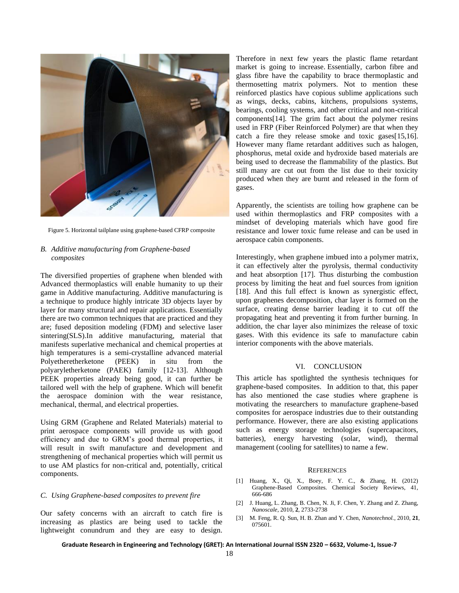

Figure 5. Horizontal tailplane using graphene-based CFRP composite

# *B. Additive manufacturing from Graphene-based composites*

The diversified properties of graphene when blended with Advanced thermoplastics will enable humanity to up their game in Additive manufacturing. Additive manufacturing is a technique to produce highly intricate 3D objects layer by layer for many structural and repair applications. Essentially there are two common techniques that are practiced and they are; fused deposition modeling (FDM) and selective laser sintering(SLS).In additive manufacturing, material that manifests superlative mechanical and chemical properties at high temperatures is a semi-crystalline advanced material Polyetheretherketone (PEEK) in situ from the polyaryletherketone (PAEK) family [12-13]. Although PEEK properties already being good, it can further be tailored well with the help of graphene. Which will benefit the aerospace dominion with the wear resistance, mechanical, thermal, and electrical properties.

Using GRM (Graphene and Related Materials) material to print aerospace components will provide us with good efficiency and due to GRM's good thermal properties, it will result in swift manufacture and development and strengthening of mechanical properties which will permit us to use AM plastics for non-critical and, potentially, critical components.

## *C. Using Graphene-based composites to prevent fire*

Our safety concerns with an aircraft to catch fire is increasing as plastics are being used to tackle the lightweight conundrum and they are easy to design. Therefore in next few years the plastic flame retardant market is going to increase. Essentially, carbon fibre and glass fibre have the capability to brace thermoplastic and thermosetting matrix polymers. Not to mention these reinforced plastics have copious sublime applications such as wings, decks, cabins, kitchens, propulsions systems, bearings, cooling systems, and other critical and non-critical components[14]. The grim fact about the polymer resins used in FRP (Fiber Reinforced Polymer) are that when they catch a fire they release smoke and toxic gases[15,16]. However many flame retardant additives such as halogen, phosphorus, metal oxide and hydroxide based materials are being used to decrease the flammability of the plastics. But still many are cut out from the list due to their toxicity produced when they are burnt and released in the form of gases.

Apparently, the scientists are toiling how graphene can be used within thermoplastics and FRP composites with a mindset of developing materials which have good fire resistance and lower toxic fume release and can be used in aerospace cabin components.

Interestingly, when graphene imbued into a polymer matrix, it can effectively alter the pyrolysis, thermal conductivity and heat absorption [17]. Thus disturbing the combustion process by limiting the heat and fuel sources from ignition [18]. And this full effect is known as synergistic effect, upon graphenes decomposition, char layer is formed on the surface, creating dense barrier leading it to cut off the propagating heat and preventing it from further burning. In addition, the char layer also minimizes the release of toxic gases. With this evidence its safe to manufacture cabin interior components with the above materials.

## VI. CONCLUSION

This article has spotlighted the synthesis techniques for graphene-based composites. In addition to that, this paper has also mentioned the case studies where graphene is motivating the researchers to manufacture graphene-based composites for aerospace industries due to their outstanding performance. However, there are also existing applications such as energy storage technologies (supercapacitors, batteries), energy harvesting (solar, wind), thermal management (cooling for satellites) to name a few.

#### **REFERENCES**

- [1] Huang, X., Qi, X., Boey, F. Y. C., & Zhang, H. (2012) Graphene-Based Composites. Chemical Society Reviews, 41, 666-686
- [2] J. Huang, L. Zhang, B. Chen, N. Ji, F. Chen, Y. Zhang and Z. Zhang, *Nanoscale*, 2010, **2**, 2733-2738
- [3] M. Feng, R. Q. Sun, H. B. Zhan and Y. Chen, *Nanotechnol.*, 2010, **21**, 075601.